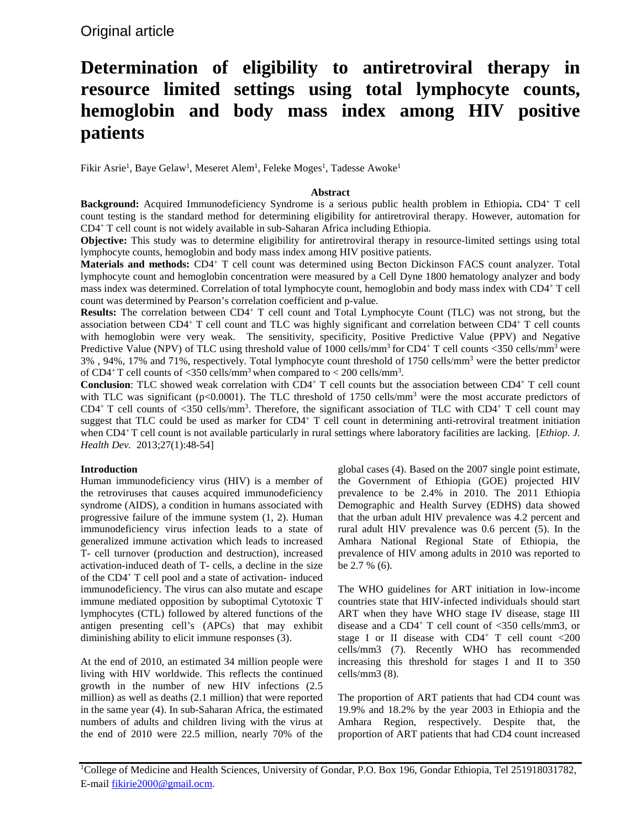# Original article

# **Determination of eligibility to antiretroviral therapy in resource limited settings using total lymphocyte counts, hemoglobin and body mass index among HIV positive patients**

Fikir Asrie<sup>1</sup>, Baye Gelaw<sup>1</sup>, Meseret Alem<sup>1</sup>, Feleke Moges<sup>1</sup>, Tadesse Awoke<sup>1</sup>

# **Abstract**

**Background:** Acquired Immunodeficiency Syndrome is a serious public health problem in Ethiopia**.** CD4+ T cell count testing is the standard method for determining eligibility for antiretroviral therapy. However, automation for CD4+ T cell count is not widely available in sub-Saharan Africa including Ethiopia.

**Objective:** This study was to determine eligibility for antiretroviral therapy in resource-limited settings using total lymphocyte counts, hemoglobin and body mass index among HIV positive patients.

**Materials and methods:** CD4+ T cell count was determined using Becton Dickinson FACS count analyzer. Total lymphocyte count and hemoglobin concentration were measured by a Cell Dyne 1800 hematology analyzer and body mass index was determined. Correlation of total lymphocyte count, hemoglobin and body mass index with CD4+ T cell count was determined by Pearson's correlation coefficient and p-value.

**Results:** The correlation between CD4+ T cell count and Total Lymphocyte Count (TLC) was not strong, but the association between CD4+ T cell count and TLC was highly significant and correlation between CD4+ T cell counts with hemoglobin were very weak. The sensitivity, specificity, Positive Predictive Value (PPV) and Negative Predictive Value (NPV) of TLC using threshold value of 1000 cells/mm<sup>3</sup> for CD4+ T cell counts <350 cells/mm<sup>3</sup> were 3%, 94%, 17% and 71%, respectively. Total lymphocyte count threshold of 1750 cells/mm<sup>3</sup> were the better predictor of CD4<sup>+</sup>T cell counts of <350 cells/mm<sup>3</sup> when compared to < 200 cells/mm<sup>3</sup>.

**Conclusion**: TLC showed weak correlation with CD4<sup>+</sup> T cell counts but the association between CD4<sup>+</sup> T cell count with TLC was significant ( $p<0.0001$ ). The TLC threshold of 1750 cells/mm<sup>3</sup> were the most accurate predictors of CD4<sup>+</sup> T cell counts of <350 cells/mm<sup>3</sup>. Therefore, the significant association of TLC with CD4<sup>+</sup> T cell count may suggest that TLC could be used as marker for CD4<sup>+</sup> T cell count in determining anti-retroviral treatment initiation when CD4<sup>+</sup> T cell count is not available particularly in rural settings where laboratory facilities are lacking. [*Ethiop. J. Health Dev.* 2013;27(1):48-54]

# **Introduction**

Human immunodeficiency virus (HIV) is a member of the retroviruses that causes acquired immunodeficiency syndrome (AIDS), a condition in humans associated with progressive failure of the immune system (1, 2). Human immunodeficiency virus infection leads to a state of generalized immune activation which leads to increased T- cell turnover (production and destruction), increased activation-induced death of T- cells, a decline in the size of the CD4+ T cell pool and a state of activation- induced immunodeficiency. The virus can also mutate and escape immune mediated opposition by suboptimal Cytotoxic T lymphocytes (CTL) followed by altered functions of the antigen presenting cell's (APCs) that may exhibit diminishing ability to elicit immune responses (3).

At the end of 2010, an estimated 34 million people were living with HIV worldwide. This reflects the continued growth in the number of new HIV infections (2.5 million) as well as deaths (2.1 million) that were reported in the same year (4). In sub-Saharan Africa, the estimated numbers of adults and children living with the virus at the end of 2010 were 22.5 million, nearly 70% of the global cases (4). Based on the 2007 single point estimate, the Government of Ethiopia (GOE) projected HIV prevalence to be 2.4% in 2010. The 2011 Ethiopia Demographic and Health Survey (EDHS) data showed that the urban adult HIV prevalence was 4.2 percent and rural adult HIV prevalence was 0.6 percent (5). In the Amhara National Regional State of Ethiopia, the prevalence of HIV among adults in 2010 was reported to be 2.7 % (6).

The WHO guidelines for ART initiation in low-income countries state that HIV-infected individuals should start ART when they have WHO stage IV disease, stage III disease and a CD4+ T cell count of <350 cells/mm3, or stage I or II disease with  $CD4^+$  T cell count <200 cells/mm3 (7). Recently WHO has recommended increasing this threshold for stages I and II to 350 cells/mm3 (8).

The proportion of ART patients that had CD4 count was 19.9% and 18.2% by the year 2003 in Ethiopia and the Amhara Region, respectively. Despite that, the proportion of ART patients that had CD4 count increased

<sup>&</sup>lt;sup>1</sup>College of Medicine and Health Sciences, University of Gondar, P.O. Box 196, Gondar Ethiopia, Tel 251918031782, E-mail [fikirie2000@gmail.ocm.](mailto:fikirie2000@gmail.ocm)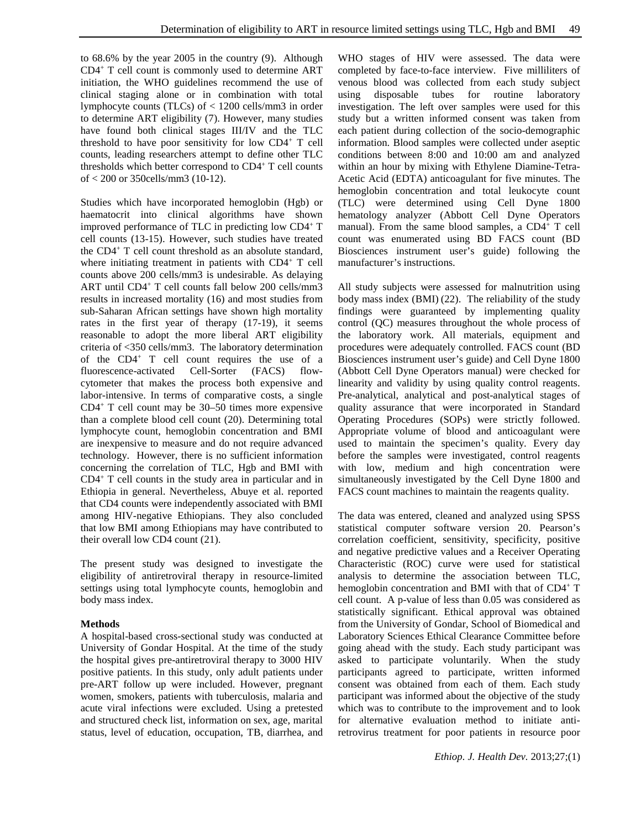to 68.6% by the year 2005 in the country (9). Although CD4+ T cell count is commonly used to determine ART initiation, the WHO guidelines recommend the use of clinical staging alone or in combination with total lymphocyte counts (TLCs) of < 1200 cells/mm3 in order to determine ART eligibility (7). However, many studies have found both clinical stages III/IV and the TLC threshold to have poor sensitivity for low  $CD4^+$  T cell counts, leading researchers attempt to define other TLC thresholds which better correspond to CD4+ T cell counts of < 200 or 350cells/mm3 (10-12).

Studies which have incorporated hemoglobin (Hgb) or haematocrit into clinical algorithms have shown improved performance of TLC in predicting low CD4+ T cell counts (13-15). However, such studies have treated the CD4+ T cell count threshold as an absolute standard, where initiating treatment in patients with CD4+ T cell counts above 200 cells/mm3 is undesirable. As delaying ART until CD4+ T cell counts fall below 200 cells/mm3 results in increased mortality (16) and most studies from sub-Saharan African settings have shown high mortality rates in the first year of therapy (17-19), it seems reasonable to adopt the more liberal ART eligibility criteria of <350 cells/mm3. The laboratory determination of the CD4+ T cell count requires the use of a fluorescence-activated Cell-Sorter (FACS) flowcytometer that makes the process both expensive and labor-intensive. In terms of comparative costs, a single CD4+ T cell count may be 30–50 times more expensive than a complete blood cell count (20). Determining total lymphocyte count, hemoglobin concentration and BMI are inexpensive to measure and do not require advanced technology. However, there is no sufficient information concerning the correlation of TLC, Hgb and BMI with CD4+ T cell counts in the study area in particular and in Ethiopia in general. Nevertheless, Abuye et al. reported that CD4 counts were independently associated with BMI among HIV-negative Ethiopians. They also concluded that low BMI among Ethiopians may have contributed to their overall low CD4 count (21).

The present study was designed to investigate the eligibility of antiretroviral therapy in resource-limited settings using total lymphocyte counts, hemoglobin and body mass index.

# **Methods**

A hospital-based cross-sectional study was conducted at University of Gondar Hospital. At the time of the study the hospital gives pre-antiretroviral therapy to 3000 HIV positive patients. In this study, only adult patients under pre-ART follow up were included. However, pregnant women, smokers, patients with tuberculosis, malaria and acute viral infections were excluded. Using a pretested and structured check list, information on sex, age, marital status, level of education, occupation, TB, diarrhea, and WHO stages of HIV were assessed. The data were completed by face-to-face interview. Five milliliters of venous blood was collected from each study subject using disposable tubes for routine laboratory investigation. The left over samples were used for this study but a written informed consent was taken from each patient during collection of the socio-demographic information. Blood samples were collected under aseptic conditions between 8:00 and 10:00 am and analyzed within an hour by mixing with Ethylene Diamine-Tetra-Acetic Acid (EDTA) anticoagulant for five minutes. The hemoglobin concentration and total leukocyte count (TLC) were determined using Cell Dyne 1800 hematology analyzer (Abbott Cell Dyne Operators manual). From the same blood samples, a CD4+ T cell count was enumerated using BD FACS count (BD Biosciences instrument user's guide) following the manufacturer's instructions.

All study subjects were assessed for malnutrition using body mass index (BMI) (22). The reliability of the study findings were guaranteed by implementing quality control (QC) measures throughout the whole process of the laboratory work. All materials, equipment and procedures were adequately controlled. FACS count (BD Biosciences instrument user's guide) and Cell Dyne 1800 (Abbott Cell Dyne Operators manual) were checked for linearity and validity by using quality control reagents. Pre-analytical, analytical and post-analytical stages of quality assurance that were incorporated in Standard Operating Procedures (SOPs) were strictly followed. Appropriate volume of blood and anticoagulant were used to maintain the specimen's quality. Every day before the samples were investigated, control reagents with low, medium and high concentration were simultaneously investigated by the Cell Dyne 1800 and FACS count machines to maintain the reagents quality.

The data was entered, cleaned and analyzed using SPSS statistical computer software version 20. Pearson's correlation coefficient, sensitivity, specificity, positive and negative predictive values and a Receiver Operating Characteristic (ROC) curve were used for statistical analysis to determine the association between TLC, hemoglobin concentration and BMI with that of CD4<sup>+</sup> T cell count. A p-value of less than 0.05 was considered as statistically significant. Ethical approval was obtained from the University of Gondar, School of Biomedical and Laboratory Sciences Ethical Clearance Committee before going ahead with the study. Each study participant was asked to participate voluntarily. When the study participants agreed to participate, written informed consent was obtained from each of them. Each study participant was informed about the objective of the study which was to contribute to the improvement and to look for alternative evaluation method to initiate antiretrovirus treatment for poor patients in resource poor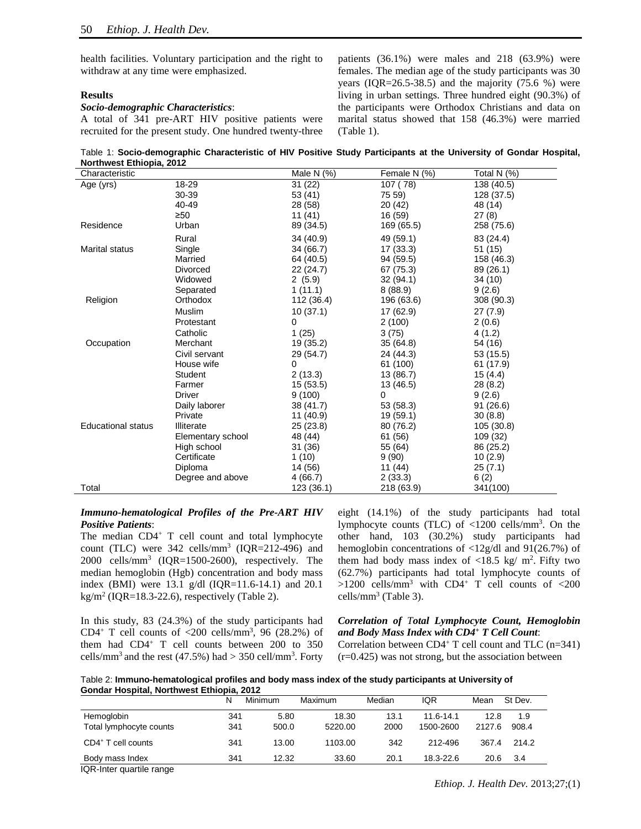health facilities. Voluntary participation and the right to withdraw at any time were emphasized.

#### **Results**

#### *Socio-demographic Characteristics*:

A total of 341 pre-ART HIV positive patients were recruited for the present study. One hundred twenty-three patients (36.1%) were males and 218 (63.9%) were females. The median age of the study participants was 30 years  $( IQR = 26.5-38.5)$  and the majority  $(75.6 %)$  were living in urban settings. Three hundred eight (90.3%) of the participants were Orthodox Christians and data on marital status showed that 158 (46.3%) were married (Table 1).

Table 1: **Socio-demographic Characteristic of HIV Positive Study Participants at the University of Gondar Hospital, Northwest Ethiopia, 2012**

| Characteristic            |                   | Male N $(%)$ | Female N (%) | Total N (%) |
|---------------------------|-------------------|--------------|--------------|-------------|
| Age (yrs)                 | 18-29             | 31 (22)      | 107 (78)     | 138 (40.5)  |
|                           | 30-39             | 53 (41)      | 75 59)       | 128 (37.5)  |
|                           | 40-49             | 28 (58)      | 20(42)       | 48 (14)     |
|                           | $\geq 50$         | 11(41)       | 16 (59)      | 27(8)       |
| Residence                 | Urban             | 89 (34.5)    | 169 (65.5)   | 258 (75.6)  |
|                           | Rural             | 34 (40.9)    | 49 (59.1)    | 83 (24.4)   |
| <b>Marital status</b>     | Single            | 34 (66.7)    | 17(33.3)     | 51 (15)     |
|                           | Married           | 64 (40.5)    | 94 (59.5)    | 158 (46.3)  |
|                           | Divorced          | 22 (24.7)    | 67 (75.3)    | 89 (26.1)   |
|                           | Widowed           | 2(5.9)       | 32(94.1)     | 34 (10)     |
|                           | Separated         | 1(11.1)      | 8(88.9)      | 9(2.6)      |
| Religion                  | Orthodox          | 112 (36.4)   | 196 (63.6)   | 308 (90.3)  |
|                           | Muslim            | 10(37.1)     | 17 (62.9)    | 27(7.9)     |
|                           | Protestant        | 0            | 2(100)       | 2(0.6)      |
|                           | Catholic          | 1(25)        | 3(75)        | 4(1.2)      |
| Occupation                | Merchant          | 19 (35.2)    | 35(64.8)     | 54 (16)     |
|                           | Civil servant     | 29 (54.7)    | 24 (44.3)    | 53 (15.5)   |
|                           | House wife        | 0            | 61 (100)     | 61 (17.9)   |
|                           | <b>Student</b>    | 2(13.3)      | 13 (86.7)    | 15(4.4)     |
|                           | Farmer            | 15(53.5)     | 13 (46.5)    | 28(8.2)     |
|                           | <b>Driver</b>     | 9(100)       | 0            | 9(2.6)      |
|                           | Daily laborer     | 38 (41.7)    | 53(58.3)     | 91 (26.6)   |
|                           | Private           | 11 (40.9)    | 19 (59.1)    | 30(8.8)     |
| <b>Educational status</b> | Illiterate        | 25 (23.8)    | 80 (76.2)    | 105 (30.8)  |
|                           | Elementary school | 48 (44)      | 61 (56)      | 109 (32)    |
|                           | High school       | 31 (36)      | 55 (64)      | 86 (25.2)   |
|                           | Certificate       | 1(10)        | 9(90)        | 10(2.9)     |
|                           | Diploma           | 14 (56)      | 11 (44)      | 25(7.1)     |
|                           | Degree and above  | 4 (66.7)     | 2(33.3)      | 6(2)        |
| Total                     |                   | 123 (36.1)   | 218 (63.9)   | 341(100)    |

# *Immuno-hematological Profiles of the Pre-ART HIV Positive Patients*:

The median CD4<sup>+</sup> T cell count and total lymphocyte count (TLC) were  $342$  cells/mm<sup>3</sup> (IQR=212-496) and  $2000 \text{ cells/mm}^3$  (IQR=1500-2600), respectively. The median hemoglobin (Hgb) concentration and body mass index (BMI) were 13.1 g/dl (IQR=11.6-14.1) and 20.1 kg/m<sup>2</sup> (IQR=18.3-22.6), respectively (Table 2).

In this study, 83 (24.3%) of the study participants had CD4<sup>+</sup> T cell counts of  $\langle 200 \text{ cells/mm}^3$ , 96 (28.2%) of them had CD4+ T cell counts between 200 to 350 cells/mm<sup>3</sup> and the rest (47.5%) had  $>$  350 cell/mm<sup>3</sup>. Forty eight (14.1%) of the study participants had total lymphocyte counts (TLC) of  $\langle 1200 \text{ cells/mm}^3$ . On the other hand, 103 (30.2%) study participants had hemoglobin concentrations of <12g/dl and 91(26.7%) of them had body mass index of  $\langle 18.5 \text{ kg}/\text{m}^2$ . Fifty two (62.7%) participants had total lymphocyte counts of  $>1200$  cells/mm<sup>3</sup> with CD4<sup>+</sup> T cell counts of <200 cells/ $mm<sup>3</sup>$  (Table 3).

# *Correlation of Total Lymphocyte Count, Hemoglobin and Body Mass Index with CD4+ T Cell Count*:

Correlation between CD4+ T cell count and TLC (n=341) (r=0.425) was not strong, but the association between

Table 2: **Immuno-hematological profiles and body mass index of the study participants at University of Gondar Hospital, Northwest Ethiopia, 2012**

|                                | N   | Minimum | Maximum | Median | <b>IQR</b> | Mean   | St Dev. |  |
|--------------------------------|-----|---------|---------|--------|------------|--------|---------|--|
| Hemoglobin                     | 341 | 5.80    | 18.30   | 13.1   | 11.6-14.1  | 12.8   | 1.9     |  |
| Total lymphocyte counts        | 341 | 500.0   | 5220.00 | 2000   | 1500-2600  | 2127.6 | 908.4   |  |
| CD4 <sup>+</sup> T cell counts | 341 | 13.00   | 1103.00 | 342    | 212-496    | 367.4  | 214.2   |  |
| Body mass Index                | 341 | 12.32   | 33.60   | 20.1   | 18.3-22.6  | 20.6   | 3.4     |  |

IQR-Inter quartile range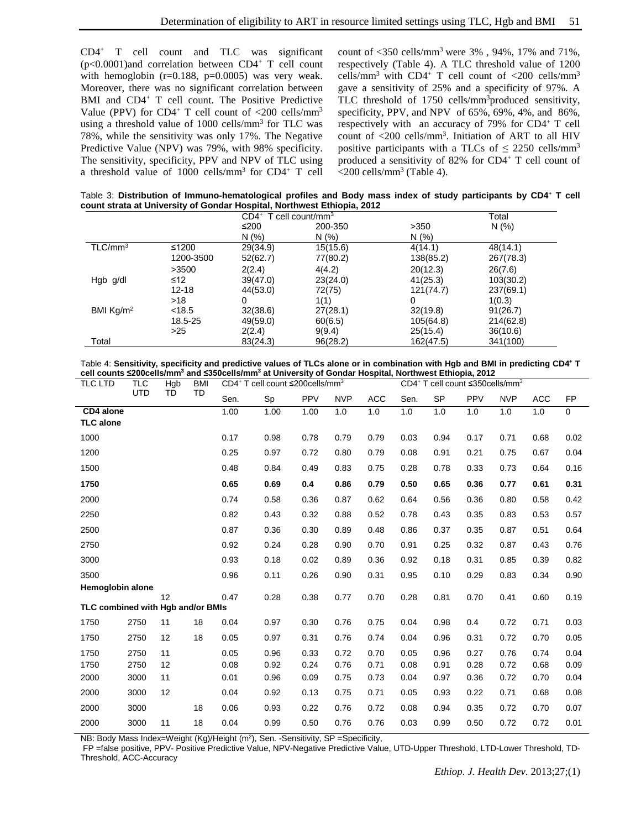CD4+ T cell count and TLC was significant  $(p<0.0001)$ and correlation between CD4<sup>+</sup> T cell count with hemoglobin  $(r=0.188, p=0.0005)$  was very weak. Moreover, there was no significant correlation between BMI and CD4<sup>+</sup> T cell count. The Positive Predictive Value (PPV) for CD4<sup>+</sup> T cell count of  $\langle 200 \text{ cells/mm}^3$ using a threshold value of  $1000$  cells/mm<sup>3</sup> for TLC was 78%, while the sensitivity was only 17%. The Negative Predictive Value (NPV) was 79%, with 98% specificity. The sensitivity, specificity, PPV and NPV of TLC using a threshold value of  $1000$  cells/mm<sup>3</sup> for CD4<sup>+</sup> T cell count of <350 cells/mm3 were 3% , 94%, 17% and 71%, respectively (Table 4). A TLC threshold value of 1200 cells/mm<sup>3</sup> with CD4<sup>+</sup> T cell count of  $\langle 200 \text{ cells/mm}^3$ gave a sensitivity of 25% and a specificity of 97%. A TLC threshold of 1750 cells/mm<sup>3</sup>produced sensitivity, specificity, PPV, and NPV of 65%, 69%, 4%, and 86%, respectively with an accuracy of 79% for CD4+ T cell count of <200 cells/mm3 . Initiation of ART to all HIV positive participants with a TLCs of  $\leq$  2250 cells/mm<sup>3</sup> produced a sensitivity of 82% for CD4+ T cell count of  $\langle$ 200 cells/mm<sup>3</sup> (Table 4).

Table 3: **Distribution of Immuno-hematological profiles and Body mass index of study participants by CD4+ T cell count strata at University of Gondar Hospital, Northwest Ethiopia, 2012**

|                     |           | $CD4^+$ T cell count/mm <sup>3</sup> |          | Total     |           |  |
|---------------------|-----------|--------------------------------------|----------|-----------|-----------|--|
|                     |           | ≤200                                 | 200-350  | >350      | N(%)      |  |
|                     |           | N(% )                                | N(% )    | N(% )     |           |  |
| $TLC/mm^3$          | ≤1200     | 29(34.9)                             | 15(15.6) | 4(14.1)   | 48(14.1)  |  |
|                     | 1200-3500 | 52(62.7)                             | 77(80.2) | 138(85.2) | 267(78.3) |  |
|                     | >3500     | 2(2.4)                               | 4(4.2)   | 20(12.3)  | 26(7.6)   |  |
| Hgb g/dl            | ≤12       | 39(47.0)                             | 23(24.0) | 41(25.3)  | 103(30.2) |  |
|                     | $12 - 18$ | 44(53.0)                             | 72(75)   | 121(74.7) | 237(69.1) |  |
|                     | $>18$     | 0                                    | 1(1)     | 0         | 1(0.3)    |  |
| BMI $\text{Kq/m}^2$ | < 18.5    | 32(38.6)                             | 27(28.1) | 32(19.8)  | 91(26.7)  |  |
|                     | 18.5-25   | 49(59.0)                             | 60(6.5)  | 105(64.8) | 214(62.8) |  |
|                     | >25       | 2(2.4)                               | 9(9.4)   | 25(15.4)  | 36(10.6)  |  |
| Total               |           | 83(24.3)                             | 96(28.2) | 162(47.5) | 341(100)  |  |

Table 4: **Sensitivity, specificity and predictive values of TLCs alone or in combination with Hgb and BMI in predicting CD4+ T cell counts ≤200cells/mm3 and ≤350cells/mm3 at University of Gondar Hospital, Northwest Ethiopia, 2012**

| <b>TLC</b><br>Hgb<br><b>BMI</b><br>TLC LTD |      |           |      | CD4 <sup>+</sup> T cell count ≤200cells/mm <sup>3</sup> |      |            |            | CD4 <sup>+</sup> T cell count ≤350cells/mm <sup>3</sup> |           |      |            |            |           |      |
|--------------------------------------------|------|-----------|------|---------------------------------------------------------|------|------------|------------|---------------------------------------------------------|-----------|------|------------|------------|-----------|------|
| <b>UTD</b>                                 | TD   | <b>TD</b> | Sen. | Sp                                                      | PPV  | <b>NVP</b> | <b>ACC</b> | Sen.                                                    | <b>SP</b> | PPV  | <b>NVP</b> | <b>ACC</b> | <b>FP</b> |      |
| CD4 alone<br><b>TLC</b> alone              |      |           |      | 1.00                                                    | 1.00 | 1.00       | 1.0        | 1.0                                                     | 1.0       | 1.0  | 1.0        | 1.0        | 1.0       | 0    |
| 1000                                       |      |           |      | 0.17                                                    | 0.98 | 0.78       | 0.79       | 0.79                                                    | 0.03      | 0.94 | 0.17       | 0.71       | 0.68      | 0.02 |
| 1200                                       |      |           |      | 0.25                                                    | 0.97 | 0.72       | 0.80       | 0.79                                                    | 0.08      | 0.91 | 0.21       | 0.75       | 0.67      | 0.04 |
| 1500                                       |      |           |      | 0.48                                                    | 0.84 | 0.49       | 0.83       | 0.75                                                    | 0.28      | 0.78 | 0.33       | 0.73       | 0.64      | 0.16 |
| 1750                                       |      |           |      | 0.65                                                    | 0.69 | 0.4        | 0.86       | 0.79                                                    | 0.50      | 0.65 | 0.36       | 0.77       | 0.61      | 0.31 |
| 2000                                       |      |           |      | 0.74                                                    | 0.58 | 0.36       | 0.87       | 0.62                                                    | 0.64      | 0.56 | 0.36       | 0.80       | 0.58      | 0.42 |
| 2250                                       |      |           |      | 0.82                                                    | 0.43 | 0.32       | 0.88       | 0.52                                                    | 0.78      | 0.43 | 0.35       | 0.83       | 0.53      | 0.57 |
| 2500                                       |      |           |      | 0.87                                                    | 0.36 | 0.30       | 0.89       | 0.48                                                    | 0.86      | 0.37 | 0.35       | 0.87       | 0.51      | 0.64 |
| 2750                                       |      |           |      | 0.92                                                    | 0.24 | 0.28       | 0.90       | 0.70                                                    | 0.91      | 0.25 | 0.32       | 0.87       | 0.43      | 0.76 |
| 3000                                       |      |           |      | 0.93                                                    | 0.18 | 0.02       | 0.89       | 0.36                                                    | 0.92      | 0.18 | 0.31       | 0.85       | 0.39      | 0.82 |
| 3500                                       |      |           |      | 0.96                                                    | 0.11 | 0.26       | 0.90       | 0.31                                                    | 0.95      | 0.10 | 0.29       | 0.83       | 0.34      | 0.90 |
| Hemoglobin alone                           |      | 12        |      | 0.47                                                    | 0.28 | 0.38       | 0.77       | 0.70                                                    | 0.28      | 0.81 | 0.70       | 0.41       | 0.60      | 0.19 |
| TLC combined with Hgb and/or BMIs          |      |           |      |                                                         |      |            |            |                                                         |           |      |            |            |           |      |
| 1750                                       | 2750 | 11        | 18   | 0.04                                                    | 0.97 | 0.30       | 0.76       | 0.75                                                    | 0.04      | 0.98 | 0.4        | 0.72       | 0.71      | 0.03 |
| 1750                                       | 2750 | 12        | 18   | 0.05                                                    | 0.97 | 0.31       | 0.76       | 0.74                                                    | 0.04      | 0.96 | 0.31       | 0.72       | 0.70      | 0.05 |
| 1750                                       | 2750 | 11        |      | 0.05                                                    | 0.96 | 0.33       | 0.72       | 0.70                                                    | 0.05      | 0.96 | 0.27       | 0.76       | 0.74      | 0.04 |
| 1750                                       | 2750 | 12        |      | 0.08                                                    | 0.92 | 0.24       | 0.76       | 0.71                                                    | 0.08      | 0.91 | 0.28       | 0.72       | 0.68      | 0.09 |
| 2000                                       | 3000 | 11        |      | 0.01                                                    | 0.96 | 0.09       | 0.75       | 0.73                                                    | 0.04      | 0.97 | 0.36       | 0.72       | 0.70      | 0.04 |
| 2000                                       | 3000 | 12        |      | 0.04                                                    | 0.92 | 0.13       | 0.75       | 0.71                                                    | 0.05      | 0.93 | 0.22       | 0.71       | 0.68      | 0.08 |
| 2000                                       | 3000 |           | 18   | 0.06                                                    | 0.93 | 0.22       | 0.76       | 0.72                                                    | 0.08      | 0.94 | 0.35       | 0.72       | 0.70      | 0.07 |
| 2000                                       | 3000 | 11        | 18   | 0.04                                                    | 0.99 | 0.50       | 0.76       | 0.76                                                    | 0.03      | 0.99 | 0.50       | 0.72       | 0.72      | 0.01 |

NB: Body Mass Index=Weight (Kg)/Height (m<sup>2</sup>), Sen. -Sensitivity, SP =Specificity,

FP =false positive, PPV- Positive Predictive Value, NPV-Negative Predictive Value, UTD-Upper Threshold, LTD-Lower Threshold, TD-Threshold, ACC-Accuracy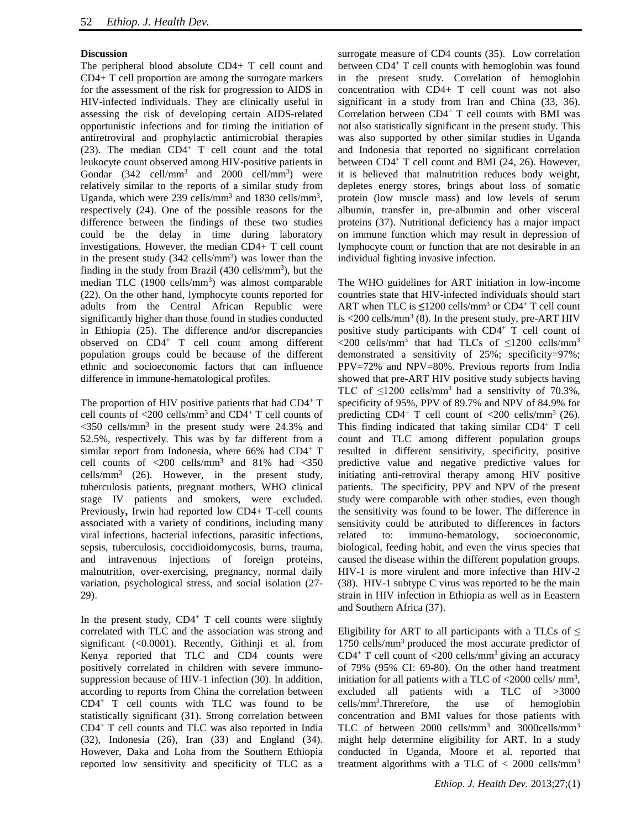# **Discussion**

The peripheral blood absolute CD4+ T cell count and CD4+ T cell proportion are among the surrogate markers for the assessment of the risk for progression to AIDS in HIV-infected individuals. They are clinically useful in assessing the risk of developing certain AIDS-related opportunistic infections and for timing the initiation of antiretroviral and prophylactic antimicrobial therapies (23). The median CD4+ T cell count and the total leukocyte count observed among HIV-positive patients in Gondar  $(342 \text{ cell/mm}^3 \text{ and } 2000 \text{ cell/mm}^3)$  were relatively similar to the reports of a similar study from Uganda, which were 239 cells/mm<sup>3</sup> and 1830 cells/mm<sup>3</sup>, respectively (24). One of the possible reasons for the difference between the findings of these two studies could be the delay in time during laboratory investigations. However, the median CD4+ T cell count in the present study  $(342 \text{ cells/mm}^3)$  was lower than the finding in the study from Brazil  $(430 \text{ cells/mm}^3)$ , but the median TLC (1900 cells/mm<sup>3</sup>) was almost comparable (22). On the other hand, lymphocyte counts reported for adults from the Central African Republic were significantly higher than those found in studies conducted in Ethiopia (25). The difference and/or discrepancies observed on CD4+ T cell count among different population groups could be because of the different ethnic and socioeconomic factors that can influence difference in immune-hematological profiles.

The proportion of HIV positive patients that had  $CD4^+$  T cell counts of  $\langle 200 \text{ cells/mm}^3$  and  $CD4^+$  T cell counts of  $\langle$ 350 cells/mm<sup>3</sup> in the present study were 24.3% and 52.5%, respectively. This was by far different from a similar report from Indonesia, where 66% had CD4<sup>+</sup> T cell counts of  $\langle 200 \text{ cells/mm}^3$  and  $81\%$  had  $\langle 350 \rangle$ cells/mm3 (26). However, in the present study, tuberculosis patients, pregnant mothers, WHO clinical stage IV patients and smokers, were excluded. Previously**,** Irwin had reported low CD4+ T-cell counts associated with a variety of conditions, including many viral infections, bacterial infections, parasitic infections, sepsis, tuberculosis, coccidioidomycosis, burns, trauma, and intravenous injections of foreign proteins, malnutrition, over-exercising, pregnancy, normal daily variation, psychological stress, and social isolation (27- 29).

In the present study,  $CD4^+$  T cell counts were slightly correlated with TLC and the association was strong and significant (<0.0001). Recently, Githinji et al. from Kenya reported that TLC and CD4 counts were positively correlated in children with severe immunosuppression because of HIV-1 infection (30). In addition, according to reports from China the correlation between CD4+ T cell counts with TLC was found to be statistically significant (31). Strong correlation between CD4+ T cell counts and TLC was also reported in India (32), Indonesia (26), Iran (33) and England (34). However, Daka and Loha from the Southern Ethiopia reported low sensitivity and specificity of TLC as a

surrogate measure of CD4 counts (35). Low correlation between CD4+ T cell counts with hemoglobin was found in the present study. Correlation of hemoglobin concentration with CD4+ T cell count was not also significant in a study from Iran and China (33, 36). Correlation between CD4+ T cell counts with BMI was not also statistically significant in the present study. This was also supported by other similar studies in Uganda and Indonesia that reported no significant correlation between  $CD4^+$  T cell count and BMI (24, 26). However, it is believed that malnutrition reduces body weight, depletes energy stores, brings about loss of somatic protein (low muscle mass) and low levels of serum albumin, transfer in, pre-albumin and other visceral proteins (37). Nutritional deficiency has a major impact on immune function which may result in depression of lymphocyte count or function that are not desirable in an individual fighting invasive infection.

The WHO guidelines for ART initiation in low-income countries state that HIV-infected individuals should start ART when TLC is  $\leq 1200$  cells/mm<sup>3</sup> or CD4<sup>+</sup> T cell count is  $\langle 200 \text{ cells/mm}^3 (8)$ . In the present study, pre-ART HIV positive study participants with CD4+ T cell count of  $\langle$ 200 cells/mm<sup>3</sup> that had TLCs of  $\leq$ 1200 cells/mm<sup>3</sup> demonstrated a sensitivity of 25%; specificity=97%; PPV=72% and NPV=80%. Previous reports from India showed that pre-ART HIV positive study subjects having TLC of  $\leq$ 1200 cells/mm<sup>3</sup> had a sensitivity of 70.3%, specificity of 95%, PPV of 89.7% and NPV of 84.9% for predicting  $CD4^+$  T cell count of  $\langle 200 \text{ cells/mm}^3 (26)$ . This finding indicated that taking similar CD4+ T cell count and TLC among different population groups resulted in different sensitivity, specificity, positive predictive value and negative predictive values for initiating anti-retroviral therapy among HIV positive patients. The specificity, PPV and NPV of the present study were comparable with other studies, even though the sensitivity was found to be lower. The difference in sensitivity could be attributed to differences in factors related to: immuno-hematology, socioeconomic, biological, feeding habit, and even the virus species that caused the disease within the different population groups. HIV-1 is more virulent and more infective than HIV-2 (38). HIV-1 subtype C virus was reported to be the main strain in HIV infection in Ethiopia as well as in Eeastern and Southern Africa (37).

Eligibility for ART to all participants with a TLCs of  $\leq$ 1750 cells/mm3 produced the most accurate predictor of CD4<sup>+</sup> T cell count of  $\langle 200 \text{ cells/mm}^3 \text{ giving an accuracy}$ of 79% (95% CI: 69-80). On the other hand treatment initiation for all patients with a TLC of  $\langle 2000 \text{ cells/mm}^3,$ excluded all patients with a TLC of >3000 cells/mm<sup>3</sup>.Threrefore, the use of hemoglobin concentration and BMI values for those patients with TLC of between 2000 cells/mm3 and 3000cells/mm3 might help determine eligibility for ART. In a study conducted in Uganda, Moore et al. reported that treatment algorithms with a TLC of  $< 2000$  cells/mm<sup>3</sup>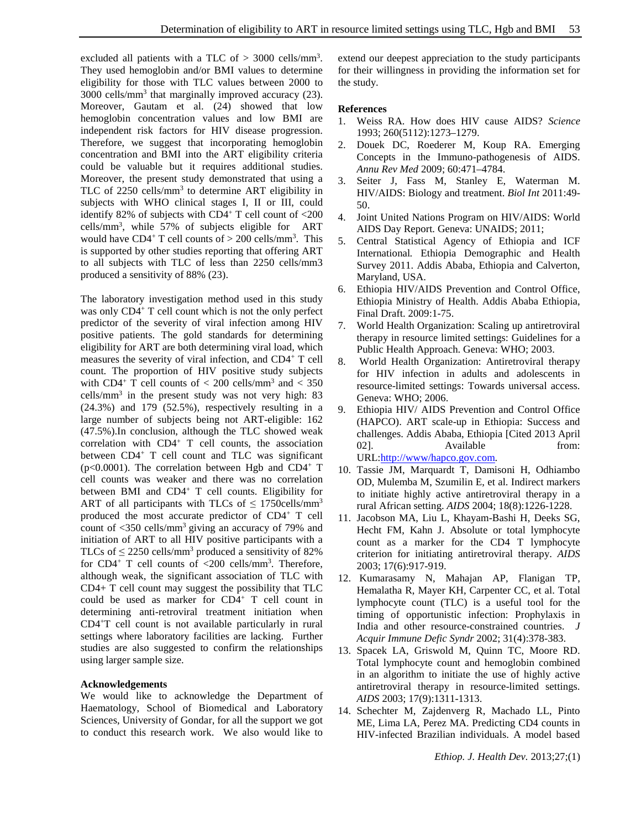excluded all patients with a TLC of  $> 3000$  cells/mm<sup>3</sup>. They used hemoglobin and/or BMI values to determine eligibility for those with TLC values between 2000 to 3000 cells/mm3 that marginally improved accuracy (23). Moreover, Gautam et al. (24) showed that low hemoglobin concentration values and low BMI are independent risk factors for HIV disease progression. Therefore, we suggest that incorporating hemoglobin concentration and BMI into the ART eligibility criteria could be valuable but it requires additional studies. Moreover, the present study demonstrated that using a TLC of  $2250$  cells/mm<sup>3</sup> to determine ART eligibility in subjects with WHO clinical stages I, II or III, could identify 82% of subjects with  $CD4^+$  T cell count of  $\langle 200 \rangle$ cells/mm<sup>3</sup>, while 57% of subjects eligible for ART would have  $CD4^+$  T cell counts of  $> 200$  cells/mm<sup>3</sup>. This is supported by other studies reporting that offering ART to all subjects with TLC of less than 2250 cells/mm3 produced a sensitivity of 88% (23).

The laboratory investigation method used in this study was only CD4<sup>+</sup> T cell count which is not the only perfect predictor of the severity of viral infection among HIV positive patients. The gold standards for determining eligibility for ART are both determining viral load, which measures the severity of viral infection, and CD4+ T cell count. The proportion of HIV positive study subjects with CD4<sup>+</sup> T cell counts of  $<$  200 cells/mm<sup>3</sup> and  $<$  350 cells/ $mm<sup>3</sup>$  in the present study was not very high: 83 (24.3%) and 179 (52.5%), respectively resulting in a large number of subjects being not ART-eligible: 162 (47.5%).In conclusion, although the TLC showed weak correlation with  $CD4^+$  T cell counts, the association between CD4<sup>+</sup> T cell count and TLC was significant ( $p<0.0001$ ). The correlation between Hgb and CD4<sup>+</sup> T cell counts was weaker and there was no correlation between BMI and  $CD4^+$  T cell counts. Eligibility for ART of all participants with TLCs of  $\leq$  1750cells/mm<sup>3</sup> produced the most accurate predictor of CD4+ T cell count of  $\langle 350 \text{ cells/mm}^3$  giving an accuracy of 79% and initiation of ART to all HIV positive participants with a TLCs of  $\leq$  2250 cells/mm<sup>3</sup> produced a sensitivity of 82% for CD4<sup>+</sup> T cell counts of  $\langle 200 \text{ cells/mm}^3$ . Therefore, although weak, the significant association of TLC with CD4+ T cell count may suggest the possibility that TLC could be used as marker for CD4+ T cell count in determining anti-retroviral treatment initiation when CD4+T cell count is not available particularly in rural settings where laboratory facilities are lacking. Further studies are also suggested to confirm the relationships using larger sample size.

### **Acknowledgements**

We would like to acknowledge the Department of Haematology, School of Biomedical and Laboratory Sciences, University of Gondar, for all the support we got to conduct this research work. We also would like to extend our deepest appreciation to the study participants for their willingness in providing the information set for the study.

# **References**

- 1. Weiss RA. How does HIV cause AIDS? *Science* 1993; 260(5112):1273–1279.
- 2. Douek DC, Roederer M, Koup RA. Emerging Concepts in the Immuno-pathogenesis of AIDS. *Annu Rev Med* 2009; 60:471–4784.
- 3. Seiter J, Fass M, Stanley E, Waterman M. HIV/AIDS: Biology and treatment. *Biol Int* 2011:49- 50.
- 4. Joint United Nations Program on HIV/AIDS: World AIDS Day Report. Geneva: UNAIDS; 2011;
- 5. Central Statistical Agency of Ethiopia and ICF International*.* Ethiopia Demographic and Health Survey 2011. Addis Ababa, Ethiopia and Calverton, Maryland, USA.
- 6. Ethiopia HIV/AIDS Prevention and Control Office, Ethiopia Ministry of Health. Addis Ababa Ethiopia, Final Draft. 2009:1-75.
- 7. World Health Organization: Scaling up antiretroviral therapy in resource limited settings: Guidelines for a Public Health Approach. Geneva: WHO; 2003.
- 8. World Health Organization: Antiretroviral therapy for HIV infection in adults and adolescents in resource-limited settings: Towards universal access. Geneva: WHO; 2006.
- 9. Ethiopia HIV/ AIDS Prevention and Control Office (HAPCO). ART scale-up in Ethiopia: Success and challenges. Addis Ababa, Ethiopia [Cited 2013 April 02]. Available from: URL[:http://www/hapco.gov.com.](http://www/hapco.gov.com)
- 10. Tassie JM, Marquardt T, Damisoni H, Odhiambo OD, Mulemba M, Szumilin E, et al. Indirect markers to initiate highly active antiretroviral therapy in a rural African setting. *AIDS* 2004; 18(8):1226-1228.
- 11. Jacobson MA, Liu L, Khayam-Bashi H, Deeks SG, Hecht FM, Kahn J. Absolute or total lymphocyte count as a marker for the CD4 T lymphocyte criterion for initiating antiretroviral therapy. *AIDS* 2003; 17(6):917-919.
- 12. Kumarasamy N, Mahajan AP, Flanigan TP, Hemalatha R, Mayer KH, Carpenter CC, et al. Total lymphocyte count (TLC) is a useful tool for the timing of opportunistic infection: Prophylaxis in India and other resource-constrained countries. *J Acquir Immune Defic Syndr* 2002; 31(4):378-383.
- 13. Spacek LA, Griswold M, Quinn TC, Moore RD. Total lymphocyte count and hemoglobin combined in an algorithm to initiate the use of highly active antiretroviral therapy in resource-limited settings. *AIDS* 2003; 17(9):1311-1313.
- 14. Schechter M, Zajdenverg R, Machado LL, Pinto ME, Lima LA, Perez MA. Predicting CD4 counts in HIV-infected Brazilian individuals. A model based